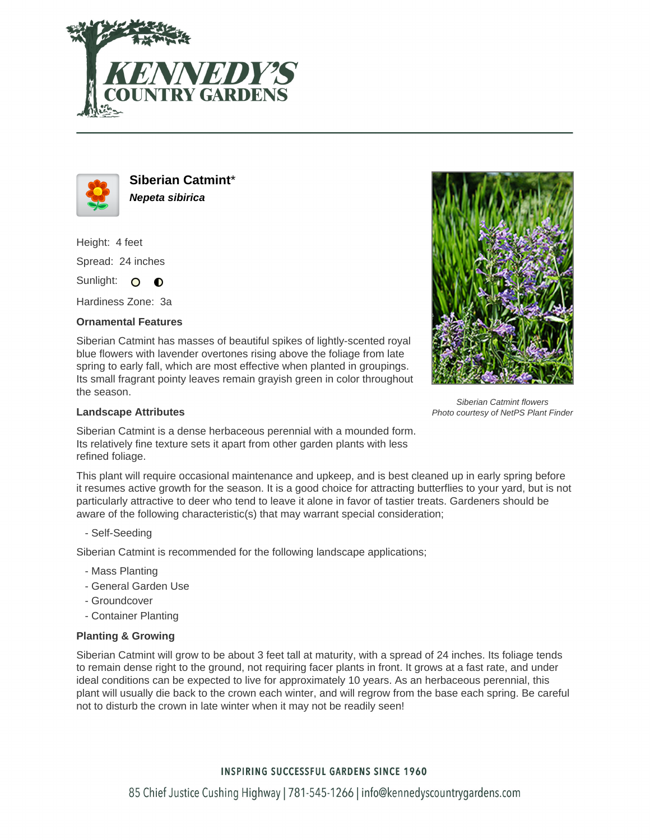



**Siberian Catmint**\* **Nepeta sibirica**

Height: 4 feet Spread: 24 inches

Sunlight: O **O** 

Hardiness Zone: 3a

## **Ornamental Features**

Siberian Catmint has masses of beautiful spikes of lightly-scented royal blue flowers with lavender overtones rising above the foliage from late spring to early fall, which are most effective when planted in groupings. Its small fragrant pointy leaves remain grayish green in color throughout the season.



Siberian Catmint flowers Photo courtesy of NetPS Plant Finder

## **Landscape Attributes**

Siberian Catmint is a dense herbaceous perennial with a mounded form. Its relatively fine texture sets it apart from other garden plants with less refined foliage.

This plant will require occasional maintenance and upkeep, and is best cleaned up in early spring before it resumes active growth for the season. It is a good choice for attracting butterflies to your yard, but is not particularly attractive to deer who tend to leave it alone in favor of tastier treats. Gardeners should be aware of the following characteristic(s) that may warrant special consideration;

- Self-Seeding

Siberian Catmint is recommended for the following landscape applications;

- Mass Planting
- General Garden Use
- Groundcover
- Container Planting

## **Planting & Growing**

Siberian Catmint will grow to be about 3 feet tall at maturity, with a spread of 24 inches. Its foliage tends to remain dense right to the ground, not requiring facer plants in front. It grows at a fast rate, and under ideal conditions can be expected to live for approximately 10 years. As an herbaceous perennial, this plant will usually die back to the crown each winter, and will regrow from the base each spring. Be careful not to disturb the crown in late winter when it may not be readily seen!

## **INSPIRING SUCCESSFUL GARDENS SINCE 1960**